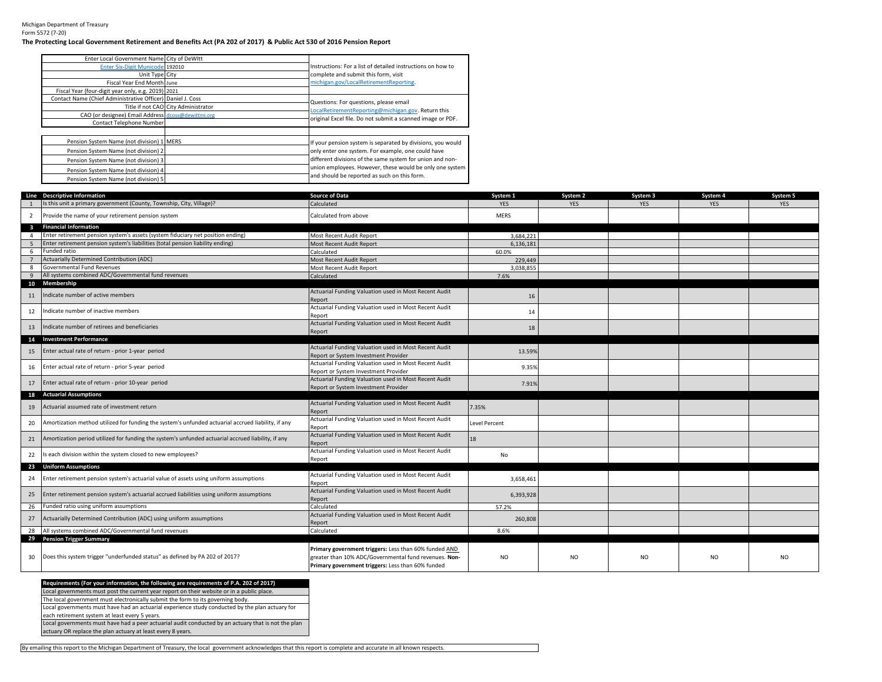Michigan Department of Treasury Form 5572 (7-20)

## **The Protecting Local Government Retirement and Benefits Act (PA 202 of 2017) & Public Act 530 of 2016 Pension Report**

| Enter Local Government Name City of DeWItt                 |                                     |                                                             |
|------------------------------------------------------------|-------------------------------------|-------------------------------------------------------------|
| Enter Six-Digit Municode 192010                            |                                     | Instructions: For a list of detailed instructions on how to |
| Unit Type City                                             |                                     | complete and submit this form, visit                        |
| Fiscal Year End Month June                                 |                                     | michigan.gov/LocalRetirementReporting.                      |
| Fiscal Year (four-digit year only, e.g. 2019) 2021         |                                     |                                                             |
| Contact Name (Chief Administrative Officer) Daniel J. Coss |                                     | Questions: For questions, please email                      |
|                                                            | Title if not CAO City Administrator | LocalRetirementReporting@michigan.gov. Return this          |
| CAO (or designee) Email Address dcoss@dewittmi.org         |                                     |                                                             |
| Contact Telephone Number                                   |                                     | original Excel file. Do not submit a scanned image or PDF.  |
|                                                            |                                     |                                                             |
| Pension System Name (not division) 1 MERS                  |                                     | If your pension system is separated by divisions, you would |
| Pension System Name (not division) 2                       |                                     | only enter one system. For example, one could have          |
| Pension System Name (not division) 3                       |                                     | different divisions of the same system for union and non-   |
| Pension System Name (not division) 4                       |                                     | union employees. However, these would be only one system    |
| Pension System Name (not division) 5                       |                                     | and should be reported as such on this form.                |

|                | Line Descriptive Information                                                                          | <b>Source of Data</b>                                                                                                                                               | System 1             | System 2       | System 3       | System 4       | System 5   |
|----------------|-------------------------------------------------------------------------------------------------------|---------------------------------------------------------------------------------------------------------------------------------------------------------------------|----------------------|----------------|----------------|----------------|------------|
|                | Is this unit a primary government (County, Township, City, Village)?                                  | Calculated                                                                                                                                                          | <b>YES</b>           | <b>YES</b>     | <b>YES</b>     | <b>YES</b>     | <b>YES</b> |
| $\overline{2}$ | Provide the name of your retirement pension system                                                    | Calculated from above                                                                                                                                               | <b>MERS</b>          |                |                |                |            |
|                | 3 Financial Information                                                                               |                                                                                                                                                                     |                      |                |                |                |            |
| 4              | Enter retirement pension system's assets (system fiduciary net position ending)                       | Most Recent Audit Report                                                                                                                                            | 3,684,221            |                |                |                |            |
| 5 <sub>1</sub> | Enter retirement pension system's liabilities (total pension liability ending)                        | Most Recent Audit Report                                                                                                                                            | 6.136.181            |                |                |                |            |
| 6              | Funded ratio                                                                                          | Calculated                                                                                                                                                          | 60.0%                |                |                |                |            |
|                | Actuarially Determined Contribution (ADC)                                                             | Most Recent Audit Report                                                                                                                                            | 229,449              |                |                |                |            |
| 8              | Governmental Fund Revenues                                                                            | Most Recent Audit Report                                                                                                                                            | 3,038,855            |                |                |                |            |
| 9              | All systems combined ADC/Governmental fund revenues                                                   | Calculated                                                                                                                                                          | 7.6%                 |                |                |                |            |
|                | 10 Membership                                                                                         |                                                                                                                                                                     |                      |                |                |                |            |
| 11             | Indicate number of active members                                                                     | Actuarial Funding Valuation used in Most Recent Audit<br>Report                                                                                                     | 16                   |                |                |                |            |
| 12             | Indicate number of inactive members                                                                   | Actuarial Funding Valuation used in Most Recent Audit<br>Report                                                                                                     | 14                   |                |                |                |            |
| 13             | Indicate number of retirees and beneficiaries                                                         | Actuarial Funding Valuation used in Most Recent Audit<br>Report                                                                                                     | 18                   |                |                |                |            |
|                | 14 Investment Performance                                                                             |                                                                                                                                                                     |                      |                |                |                |            |
|                | Enter actual rate of return - prior 1-year period                                                     | Actuarial Funding Valuation used in Most Recent Audit                                                                                                               | 13.59%               |                |                |                |            |
| 15             |                                                                                                       | Report or System Investment Provider                                                                                                                                |                      |                |                |                |            |
| 16             | Enter actual rate of return - prior 5-year period                                                     | Actuarial Funding Valuation used in Most Recent Audit                                                                                                               | 9.35%                |                |                |                |            |
|                |                                                                                                       | Report or System Investment Provider                                                                                                                                |                      |                |                |                |            |
|                | 17 Enter actual rate of return - prior 10-year period                                                 | Actuarial Funding Valuation used in Most Recent Audit                                                                                                               | 7.91%                |                |                |                |            |
|                |                                                                                                       | Report or System Investment Provider                                                                                                                                |                      |                |                |                |            |
| 18             | <b>Actuarial Assumptions</b>                                                                          |                                                                                                                                                                     |                      |                |                |                |            |
| 19             | Actuarial assumed rate of investment return                                                           | Actuarial Funding Valuation used in Most Recent Audit<br>Report                                                                                                     | 7.35%                |                |                |                |            |
| 20             | Amortization method utilized for funding the system's unfunded actuarial accrued liability, if any    | Actuarial Funding Valuation used in Most Recent Audit<br>Report                                                                                                     | <b>Level Percent</b> |                |                |                |            |
|                | 21 Amortization period utilized for funding the system's unfunded actuarial accrued liability, if any | Actuarial Funding Valuation used in Most Recent Audit<br>Report                                                                                                     | 18                   |                |                |                |            |
| 22             | Is each division within the system closed to new employees?                                           | Actuarial Funding Valuation used in Most Recent Audit<br>Report                                                                                                     | No                   |                |                |                |            |
|                | 23 Uniform Assumptions                                                                                |                                                                                                                                                                     |                      |                |                |                |            |
| 24             | Enter retirement pension system's actuarial value of assets using uniform assumptions                 | Actuarial Funding Valuation used in Most Recent Audit<br>Report                                                                                                     | 3,658,461            |                |                |                |            |
| 25             | Enter retirement pension system's actuarial accrued liabilities using uniform assumptions             | Actuarial Funding Valuation used in Most Recent Audit<br>Report                                                                                                     | 6,393,928            |                |                |                |            |
| 26             | Funded ratio using uniform assumptions                                                                | Calculated                                                                                                                                                          | 57.2%                |                |                |                |            |
| 27             | Actuarially Determined Contribution (ADC) using uniform assumptions                                   | Actuarial Funding Valuation used in Most Recent Audit<br>Report                                                                                                     | 260,808              |                |                |                |            |
|                | 28 All systems combined ADC/Governmental fund revenues                                                | Calculated                                                                                                                                                          | 8.6%                 |                |                |                |            |
|                | 29 Pension Trigger Summary                                                                            |                                                                                                                                                                     |                      |                |                |                |            |
| 30             | Does this system trigger "underfunded status" as defined by PA 202 of 2017?                           | Primary government triggers: Less than 60% funded AND<br>greater than 10% ADC/Governmental fund revenues. Non-<br>Primary government triggers: Less than 60% funded | <b>NO</b>            | N <sub>O</sub> | N <sub>O</sub> | N <sub>O</sub> | <b>NO</b>  |

**Requirements (For your information, the following are requirements of P.A. 202 of 2017)** Local governments must post the current year report on their website or in a public place. Local governments must have had an actuarial experience study conducted by the plan actuary for each retirement system at least every 5 years. The local government must electronically submit the form to its governing body. Local governments must have had a peer actuarial audit conducted by an actuary that is not the plan

actuary OR replace the plan actuary at least every 8 years.

By emailing this report to the Michigan Department of Treasury, the local government acknowledges that this report is complete and accurate in all known respects.